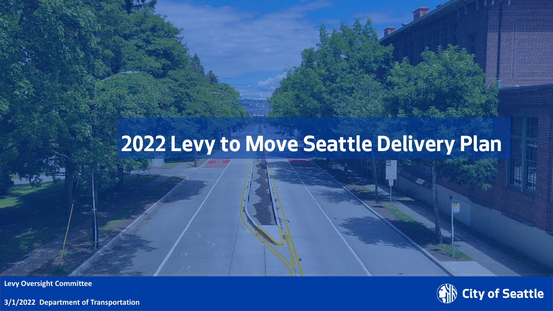### **2022 Levy to Move Seattle Delivery Plan**

**Levy Oversight Committee**

**3/1/2022 Department of Transportation**

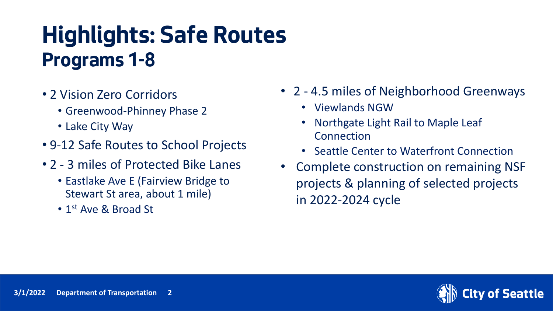## **Highlights: Safe Routes Programs 1-8**

- 2 Vision Zero Corridors
	- Greenwood-Phinney Phase 2
	- Lake City Way
- 9-12 Safe Routes to School Projects
- 2 3 miles of Protected Bike Lanes
	- Eastlake Ave E (Fairview Bridge to Stewart St area, about 1 mile)
	- 1<sup>st</sup> Ave & Broad St
- 2 4.5 miles of Neighborhood Greenways
	- Viewlands NGW
	- Northgate Light Rail to Maple Leaf Connection
	- Seattle Center to Waterfront Connection
- Complete construction on remaining NSF projects & planning of selected projects in 2022-2024 cycle

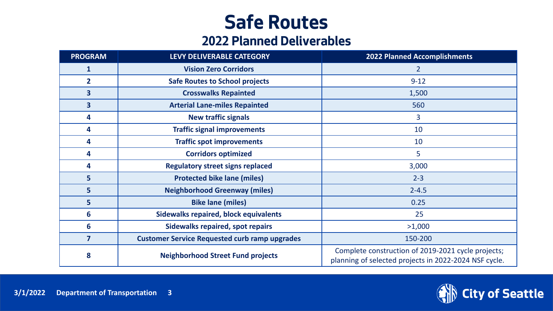### **Safe Routes**

#### **2022 Planned Deliverables**

| <b>PROGRAM</b>          | LEVY DELIVERABLE CATEGORY                            | <b>2022 Planned Accomplishments</b>                                                                         |
|-------------------------|------------------------------------------------------|-------------------------------------------------------------------------------------------------------------|
| 1                       | <b>Vision Zero Corridors</b>                         | $\overline{2}$                                                                                              |
| $\overline{2}$          | <b>Safe Routes to School projects</b>                | $9 - 12$                                                                                                    |
| $\overline{\mathbf{3}}$ | <b>Crosswalks Repainted</b>                          | 1,500                                                                                                       |
| $\overline{\mathbf{3}}$ | <b>Arterial Lane-miles Repainted</b>                 | 560                                                                                                         |
| 4                       | <b>New traffic signals</b>                           | 3                                                                                                           |
| 4                       | <b>Traffic signal improvements</b>                   | 10                                                                                                          |
| 4                       | <b>Traffic spot improvements</b>                     | 10                                                                                                          |
| 4                       | <b>Corridors optimized</b>                           | 5                                                                                                           |
| 4                       | <b>Regulatory street signs replaced</b>              | 3,000                                                                                                       |
| 5                       | <b>Protected bike lane (miles)</b>                   | $2 - 3$                                                                                                     |
| 5                       | <b>Neighborhood Greenway (miles)</b>                 | $2 - 4.5$                                                                                                   |
| 5 <sup>1</sup>          | <b>Bike lane (miles)</b>                             | 0.25                                                                                                        |
| 6                       | <b>Sidewalks repaired, block equivalents</b>         | 25                                                                                                          |
| 6                       | <b>Sidewalks repaired, spot repairs</b>              | >1,000                                                                                                      |
| 7                       | <b>Customer Service Requested curb ramp upgrades</b> | 150-200                                                                                                     |
| 8                       | <b>Neighborhood Street Fund projects</b>             | Complete construction of 2019-2021 cycle projects;<br>planning of selected projects in 2022-2024 NSF cycle. |

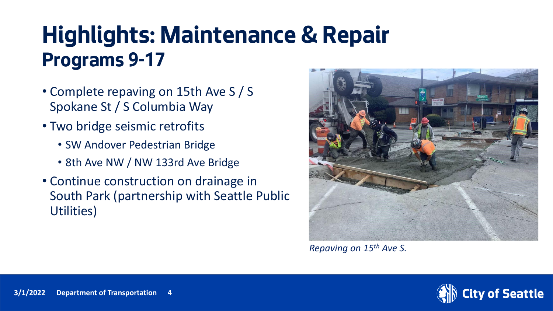## **Highlights: Maintenance & Repair Programs 9-17**

- Complete repaving on 15th Ave S / S Spokane St / S Columbia Way
- Two bridge seismic retrofits
	- SW Andover Pedestrian Bridge
	- 8th Ave NW / NW 133rd Ave Bridge
- Continue construction on drainage in South Park (partnership with Seattle Public Utilities)



*Repaving on 15th Ave S.*

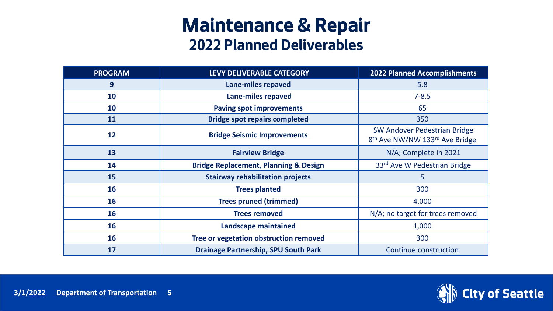#### **Maintenance & Repair 2022 Planned Deliverables**

| <b>PROGRAM</b> | LEVY DELIVERABLE CATEGORY                        | <b>2022 Planned Accomplishments</b>                                                    |
|----------------|--------------------------------------------------|----------------------------------------------------------------------------------------|
| 9              | Lane-miles repaved                               | 5.8                                                                                    |
| 10             | Lane-miles repaved                               | $7 - 8.5$                                                                              |
| 10             | <b>Paving spot improvements</b>                  | 65                                                                                     |
| 11             | <b>Bridge spot repairs completed</b>             | 350                                                                                    |
| 12             | <b>Bridge Seismic Improvements</b>               | SW Andover Pedestrian Bridge<br>8 <sup>th</sup> Ave NW/NW 133 <sup>rd</sup> Ave Bridge |
| 13             | <b>Fairview Bridge</b>                           | N/A; Complete in 2021                                                                  |
| 14             | <b>Bridge Replacement, Planning &amp; Design</b> | 33rd Ave W Pedestrian Bridge                                                           |
| 15             | <b>Stairway rehabilitation projects</b>          | 5                                                                                      |
| 16             | <b>Trees planted</b>                             | 300                                                                                    |
| 16             | <b>Trees pruned (trimmed)</b>                    | 4,000                                                                                  |
| <b>16</b>      | <b>Trees removed</b>                             | N/A; no target for trees removed                                                       |
| 16             | <b>Landscape maintained</b>                      | 1,000                                                                                  |
| <b>16</b>      | Tree or vegetation obstruction removed           | 300                                                                                    |
| 17             | <b>Drainage Partnership, SPU South Park</b>      | Continue construction                                                                  |

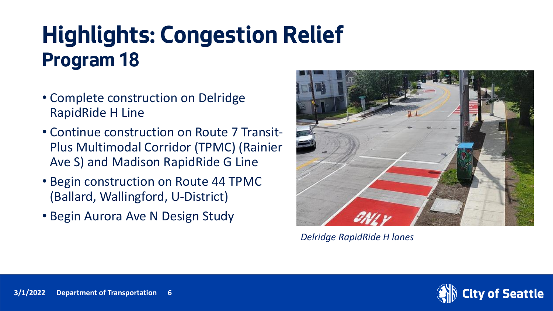# **Highlights: Congestion Relief Program 18**

- Complete construction on Delridge RapidRide H Line
- Continue construction on Route 7 Transit-Plus Multimodal Corridor (TPMC) (Rainier Ave S) and Madison RapidRide G Line
- Begin construction on Route 44 TPMC (Ballard, Wallingford, U-District)
- Begin Aurora Ave N Design Study



*Delridge RapidRide H lanes*

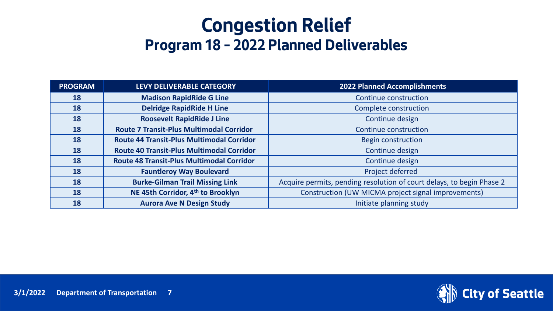### **Congestion Relief Program 18 – 2022 Planned Deliverables**

| <b>PROGRAM</b> | <b>LEVY DELIVERABLE CATEGORY</b>                 | <b>2022 Planned Accomplishments</b>                                   |
|----------------|--------------------------------------------------|-----------------------------------------------------------------------|
| 18             | <b>Madison RapidRide G Line</b>                  | Continue construction                                                 |
| 18             | <b>Delridge RapidRide H Line</b>                 | Complete construction                                                 |
| 18             | <b>Roosevelt RapidRide J Line</b>                | Continue design                                                       |
| 18             | <b>Route 7 Transit-Plus Multimodal Corridor</b>  | Continue construction                                                 |
| 18             | <b>Route 44 Transit-Plus Multimodal Corridor</b> | <b>Begin construction</b>                                             |
| 18             | <b>Route 40 Transit-Plus Multimodal Corridor</b> | Continue design                                                       |
| 18             | <b>Route 48 Transit-Plus Multimodal Corridor</b> | Continue design                                                       |
| 18             | <b>Fauntleroy Way Boulevard</b>                  | Project deferred                                                      |
| 18             | <b>Burke-Gilman Trail Missing Link</b>           | Acquire permits, pending resolution of court delays, to begin Phase 2 |
| 18             | NE 45th Corridor, 4th to Brooklyn                | Construction (UW MICMA project signal improvements)                   |
| 18             | <b>Aurora Ave N Design Study</b>                 | Initiate planning study                                               |

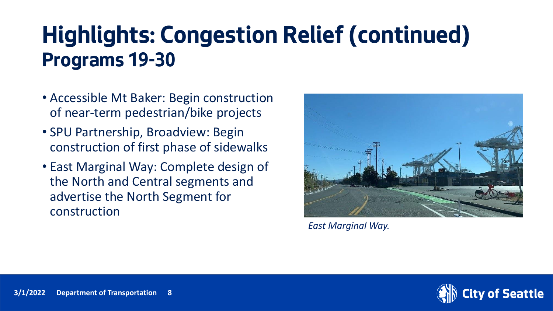# **Highlights: Congestion Relief (continued) Programs 19-30**

- Accessible Mt Baker: Begin construction of near-term pedestrian/bike projects
- SPU Partnership, Broadview: Begin construction of first phase of sidewalks
- East Marginal Way: Complete design of the North and Central segments and advertise the North Segment for construction



*East Marginal Way.*

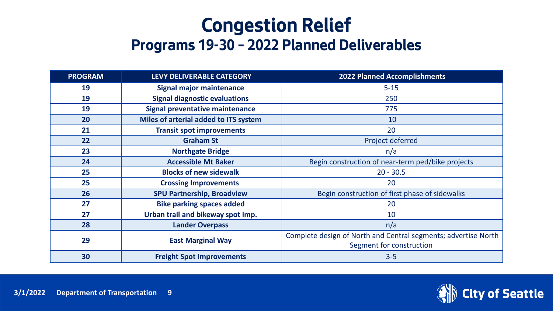#### **Congestion Relief Programs 19-30 – 2022 Planned Deliverables**

| <b>PROGRAM</b> | LEVY DELIVERABLE CATEGORY              | <b>2022 Planned Accomplishments</b>                            |
|----------------|----------------------------------------|----------------------------------------------------------------|
| 19             | <b>Signal major maintenance</b>        | $5 - 15$                                                       |
| 19             | <b>Signal diagnostic evaluations</b>   | 250                                                            |
| 19             | <b>Signal preventative maintenance</b> | 775                                                            |
| 20             | Miles of arterial added to ITS system  | 10                                                             |
| 21             | <b>Transit spot improvements</b>       | 20                                                             |
| 22             | <b>Graham St</b>                       | Project deferred                                               |
| 23             | <b>Northgate Bridge</b>                | n/a                                                            |
| 24             | <b>Accessible Mt Baker</b>             | Begin construction of near-term ped/bike projects              |
| 25             | <b>Blocks of new sidewalk</b>          | $20 - 30.5$                                                    |
| 25             | <b>Crossing Improvements</b>           | 20                                                             |
| 26             | <b>SPU Partnership, Broadview</b>      | Begin construction of first phase of sidewalks                 |
| 27             | <b>Bike parking spaces added</b>       | 20                                                             |
| 27             | Urban trail and bikeway spot imp.      | 10                                                             |
| 28             | <b>Lander Overpass</b>                 | n/a                                                            |
| 29             | <b>East Marginal Way</b>               | Complete design of North and Central segments; advertise North |
|                |                                        | Segment for construction                                       |
| 30             | <b>Freight Spot Improvements</b>       | $3 - 5$                                                        |